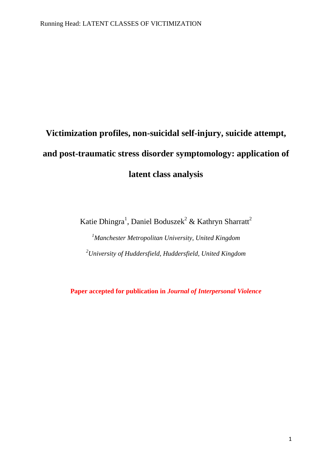# **Victimization profiles, non-suicidal self-injury, suicide attempt, and post-traumatic stress disorder symptomology: application of latent class analysis**

Katie Dhingra<sup>1</sup>, Daniel Boduszek<sup>2</sup> & Kathryn Sharratt<sup>2</sup>

*<sup>1</sup>Manchester Metropolitan University, United Kingdom <sup>2</sup>University of Huddersfield, Huddersfield, United Kingdom*

**Paper accepted for publication in** *Journal of Interpersonal Violence*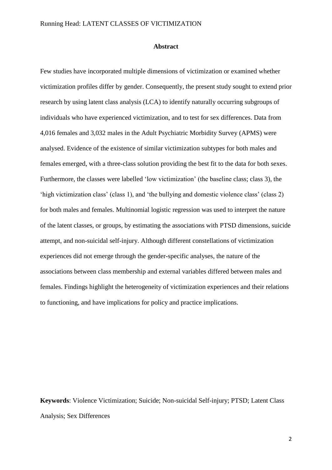#### **Abstract**

Few studies have incorporated multiple dimensions of victimization or examined whether victimization profiles differ by gender. Consequently, the present study sought to extend prior research by using latent class analysis (LCA) to identify naturally occurring subgroups of individuals who have experienced victimization, and to test for sex differences. Data from 4,016 females and 3,032 males in the Adult Psychiatric Morbidity Survey (APMS) were analysed. Evidence of the existence of similar victimization subtypes for both males and females emerged, with a three-class solution providing the best fit to the data for both sexes. Furthermore, the classes were labelled "low victimization" (the baseline class; class 3), the "high victimization class" (class 1), and "the bullying and domestic violence class" (class 2) for both males and females. Multinomial logistic regression was used to interpret the nature of the latent classes, or groups, by estimating the associations with PTSD dimensions, suicide attempt, and non-suicidal self-injury. Although different constellations of victimization experiences did not emerge through the gender-specific analyses, the nature of the associations between class membership and external variables differed between males and females. Findings highlight the heterogeneity of victimization experiences and their relations to functioning, and have implications for policy and practice implications.

**Keywords**: Violence Victimization; Suicide; Non-suicidal Self-injury; PTSD; Latent Class Analysis; Sex Differences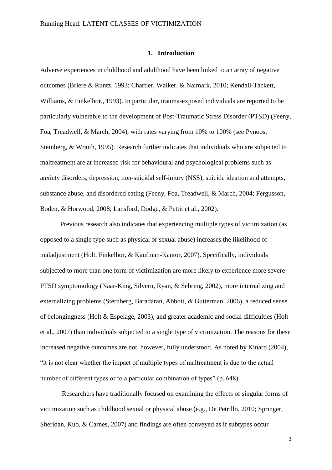#### **1. Introduction**

Adverse experiences in childhood and adulthood have been linked to an array of negative outcomes (Briere & Runtz, 1993; Chartier, Walker, & Naimark, 2010; Kendall-Tackett, Williams, & Finkelhor*.*, 1993). In particular, trauma-exposed individuals are reported to be particularly vulnerable to the development of Post-Traumatic Stress Disorder (PTSD) (Feeny, Foa, Treadwell, & March, 2004), with rates varying from 10% to 100% (see Pynoos, Steinberg, & Wraith, 1995). Research further indicates that individuals who are subjected to maltreatment are at increased risk for behavioural and psychological problems such as anxiety disorders, depression, non-suicidal self-injury (NSS), suicide ideation and attempts, substance abuse, and disordered eating (Feeny, Foa, Treadwell, & March, 2004; Fergusson, Boden, & Horwood, 2008; Lansford, Dodge, & Pettit et al., 2002).

Previous research also indicates that experiencing multiple types of victimization (as opposed to a single type such as physical or sexual abuse) increases the likelihood of maladjustment (Holt, Finkelhor, & Kaufman-Kantor, 2007). Specifically, individuals subjected to more than one form of victimization are more likely to experience more severe PTSD symptomology (Naar-King, Silvern, Ryan, & Sebring, 2002), more internalizing and externalizing problems (Sternberg, Baradaran, Abbott, & Gutterman, 2006), a reduced sense of belongingness (Holt & Espelage, 2003), and greater academic and social difficulties (Holt et al., 2007) than individuals subjected to a single type of victimization. The reasons for these increased negative outcomes are not, however, fully understood. As noted by Kinard (2004), "it is not clear whether the impact of multiple types of maltreatment is due to the actual number of different types or to a particular combination of types" (p. 648).

Researchers have traditionally focused on examining the effects of singular forms of victimization such as childhood sexual or physical abuse (e.g., De Petrillo, 2010; Springer, Sheridan, Kuo, & Carnes, 2007) and findings are often conveyed as if subtypes occur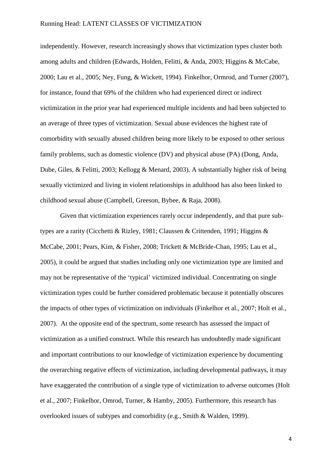independently. However, research increasingly shows that victimization types cluster both among adults and children (Edwards, Holden, Felitti, & Anda, 2003; Higgins & McCabe, 2000; Lau et al., 2005; Ney, Fung, & Wickett, 1994). Finkelhor, Ormrod, and Turner (2007), for instance, found that 69% of the children who had experienced direct or indirect victimization in the prior year had experienced multiple incidents and had been subjected to an average of three types of victimization. Sexual abuse evidences the highest rate of comorbidity with sexually abused children being more likely to be exposed to other serious family problems, such as domestic violence (DV) and physical abuse (PA) (Dong, Anda, Dube, Giles, & Felitti, 2003; Kellogg & Menard, 2003). A substantially higher risk of being sexually victimized and living in violent relationships in adulthood has also been linked to childhood sexual abuse (Campbell, Greeson, Bybee, & Raja, 2008).

Given that victimization experiences rarely occur independently, and that pure subtypes are a rarity (Cicchetti & Rizley, 1981; Claussen & Crittenden, 1991; Higgins & McCabe, 2001; Pears, Kim, & Fisher, 2008; Trickett & McBride-Chan, 1995; Lau et al., 2005), it could be argued that studies including only one victimization type are limited and may not be representative of the "typical" victimized individual. Concentrating on single victimization types could be further considered problematic because it potentially obscures the impacts of other types of victimization on individuals (Finkelhor et al., 2007; Holt et al., 2007). At the opposite end of the spectrum, some research has assessed the impact of victimization as a unified construct. While this research has undoubtedly made significant and important contributions to our knowledge of victimization experience by documenting the overarching negative effects of victimization, including developmental pathways, it may have exaggerated the contribution of a single type of victimization to adverse outcomes (Holt et al., 2007; Finkelhor, Omrod, Turner, & Hamby, 2005). Furthermore, this research has overlooked issues of subtypes and comorbidity (e.g., Smith & Walden, 1999).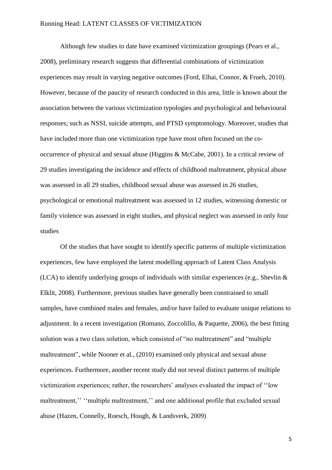Although few studies to date have examined victimization groupings (Pears et al., 2008), preliminary research suggests that differential combinations of victimization experiences may result in varying negative outcomes (Ford, Elhai, Connor, & Frueh, 2010). However, because of the paucity of research conducted in this area, little is known about the association between the various victimization typologies and psychological and behavioural responses; such as NSSI, suicide attempts, and PTSD symptomology. Moreover, studies that have included more than one victimization type have most often focused on the cooccurrence of physical and sexual abuse (Higgins & McCabe, 2001). In a critical review of 29 studies investigating the incidence and effects of childhood maltreatment, physical abuse was assessed in all 29 studies, childhood sexual abuse was assessed in 26 studies, psychological or emotional maltreatment was assessed in 12 studies, witnessing domestic or family violence was assessed in eight studies, and physical neglect was assessed in only four studies

Of the studies that have sought to identify specific patterns of multiple victimization experiences, few have employed the latent modelling approach of Latent Class Analysis (LCA) to identify underlying groups of individuals with similar experiences (e.g., Shevlin & Elklit, 2008). Furthermore, previous studies have generally been constrained to small samples, have combined males and females, and/or have failed to evaluate unique relations to adjustment. In a recent investigation (Romano, Zoccolillo, & Paquette, 2006), the best fitting solution was a two class solution, which consisted of "no maltreatment" and "multiple maltreatment", while Nooner et al., (2010) examined only physical and sexual abuse experiences. Furthermore, another recent study did not reveal distinct patterns of multiple victimization experiences; rather, the researchers" analyses evaluated the impact of ""low maltreatment," "multiple maltreatment," and one additional profile that excluded sexual abuse (Hazen, Connelly, Roesch, Hough, & Landsverk, 2009)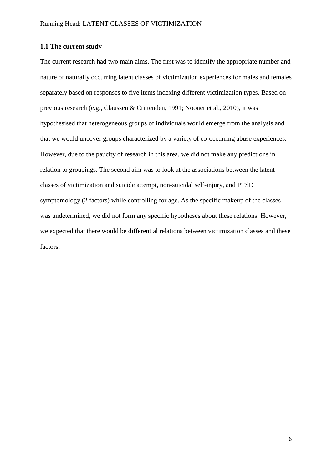# **1.1 The current study**

The current research had two main aims. The first was to identify the appropriate number and nature of naturally occurring latent classes of victimization experiences for males and females separately based on responses to five items indexing different victimization types. Based on previous research (e.g., Claussen & Crittenden, 1991; Nooner et al., 2010), it was hypothesised that heterogeneous groups of individuals would emerge from the analysis and that we would uncover groups characterized by a variety of co-occurring abuse experiences. However, due to the paucity of research in this area, we did not make any predictions in relation to groupings. The second aim was to look at the associations between the latent classes of victimization and suicide attempt, non-suicidal self-injury, and PTSD symptomology (2 factors) while controlling for age. As the specific makeup of the classes was undetermined, we did not form any specific hypotheses about these relations. However, we expected that there would be differential relations between victimization classes and these factors.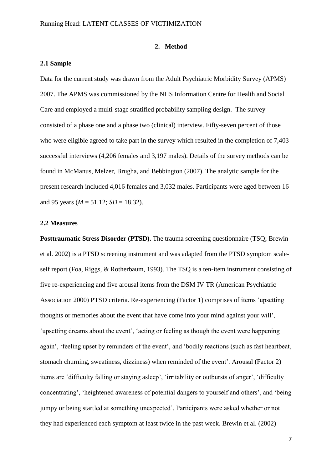#### **2. Method**

#### **2.1 Sample**

Data for the current study was drawn from the Adult Psychiatric Morbidity Survey (APMS) 2007. The APMS was commissioned by the NHS Information Centre for Health and Social Care and employed a multi-stage stratified probability sampling design. The survey consisted of a phase one and a phase two (clinical) interview. Fifty-seven percent of those who were eligible agreed to take part in the survey which resulted in the completion of 7,403 successful interviews (4,206 females and 3,197 males). Details of the survey methods can be found in McManus, Melzer, Brugha, and Bebbington (2007). The analytic sample for the present research included 4,016 females and 3,032 males. Participants were aged between 16 and 95 years  $(M = 51.12; SD = 18.32)$ .

## **2.2 Measures**

**Posttraumatic Stress Disorder (PTSD).** The trauma screening questionnaire (TSQ; Brewin et al. 2002) is a PTSD screening instrument and was adapted from the PTSD symptom scaleself report (Foa, Riggs, & Rotherbaum, 1993). The TSQ is a ten-item instrument consisting of five re-experiencing and five arousal items from the DSM IV TR (American Psychiatric Association 2000) PTSD criteria. Re-experiencing (Factor 1) comprises of items "upsetting thoughts or memories about the event that have come into your mind against your will", "upsetting dreams about the event", "acting or feeling as though the event were happening again', 'feeling upset by reminders of the event', and 'bodily reactions (such as fast heartbeat, stomach churning, sweatiness, dizziness) when reminded of the event". Arousal (Factor 2) items are "difficulty falling or staying asleep", "irritability or outbursts of anger", "difficulty concentrating', 'heightened awareness of potential dangers to yourself and others', and 'being jumpy or being startled at something unexpected'. Participants were asked whether or not they had experienced each symptom at least twice in the past week. Brewin et al. (2002)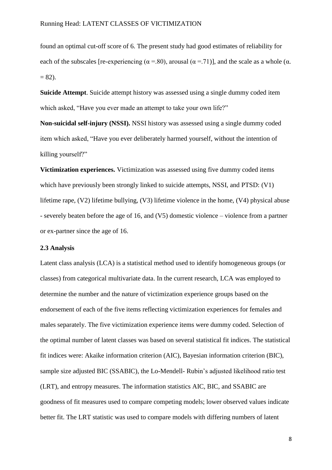found an optimal cut-off score of 6. The present study had good estimates of reliability for each of the subscales [re-experiencing ( $\alpha$  =.80), arousal ( $\alpha$  =.71)], and the scale as a whole ( $\alpha$ .  $= 82$ ).

**Suicide Attempt**. Suicide attempt history was assessed using a single dummy coded item which asked, "Have you ever made an attempt to take your own life?"

**Non-suicidal self-injury (NSSI).** NSSI history was assessed using a single dummy coded item which asked, "Have you ever deliberately harmed yourself, without the intention of killing yourself?"

**Victimization experiences.** Victimization was assessed using five dummy coded items which have previously been strongly linked to suicide attempts, NSSI, and PTSD: (V1) lifetime rape, (V2) lifetime bullying, (V3) lifetime violence in the home, (V4) physical abuse - severely beaten before the age of 16, and (V5) domestic violence – violence from a partner or ex-partner since the age of 16.

## **2.3 Analysis**

Latent class analysis (LCA) is a statistical method used to identify homogeneous groups (or classes) from categorical multivariate data. In the current research, LCA was employed to determine the number and the nature of victimization experience groups based on the endorsement of each of the five items reflecting victimization experiences for females and males separately. The five victimization experience items were dummy coded. Selection of the optimal number of latent classes was based on several statistical fit indices. The statistical fit indices were: Akaike information criterion (AIC), Bayesian information criterion (BIC), sample size adjusted BIC (SSABIC), the Lo-Mendell- Rubin's adjusted likelihood ratio test (LRT), and entropy measures. The information statistics AIC, BIC, and SSABIC are goodness of fit measures used to compare competing models; lower observed values indicate better fit. The LRT statistic was used to compare models with differing numbers of latent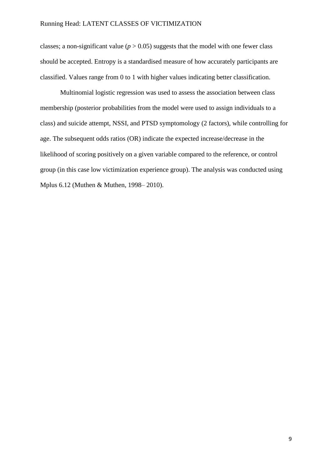classes; a non-significant value ( $p > 0.05$ ) suggests that the model with one fewer class should be accepted. Entropy is a standardised measure of how accurately participants are classified. Values range from 0 to 1 with higher values indicating better classification.

Multinomial logistic regression was used to assess the association between class membership (posterior probabilities from the model were used to assign individuals to a class) and suicide attempt, NSSI, and PTSD symptomology (2 factors), while controlling for age. The subsequent odds ratios (OR) indicate the expected increase/decrease in the likelihood of scoring positively on a given variable compared to the reference, or control group (in this case low victimization experience group). The analysis was conducted using Mplus 6.12 (Muthen & Muthen, 1998– 2010).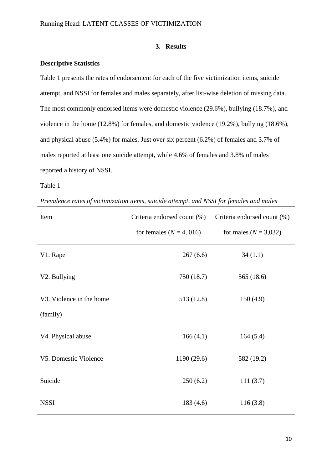# **3. Results**

## **Descriptive Statistics**

Table 1 presents the rates of endorsement for each of the five victimization items, suicide attempt, and NSSI for females and males separately, after list-wise deletion of missing data. The most commonly endorsed items were domestic violence (29.6%), bullying (18.7%), and violence in the home (12.8%) for females, and domestic violence (19.2%), bullying (18.6%), and physical abuse (5.4%) for males. Just over six percent (6.2%) of females and 3.7% of males reported at least one suicide attempt, while 4.6% of females and 3.8% of males reported a history of NSSI.

#### Table 1

| Prevalence rates of victimization items, suicide attempt, and NSSI for females and males |  |  |  |  |  |  |
|------------------------------------------------------------------------------------------|--|--|--|--|--|--|
|------------------------------------------------------------------------------------------|--|--|--|--|--|--|

| Item                     | Criteria endorsed count (%)  | Criteria endorsed count (%) |  |
|--------------------------|------------------------------|-----------------------------|--|
|                          | for females ( $N = 4$ , 016) | for males ( $N = 3,032$ )   |  |
| V1. Rape                 | 267(6.6)                     | 34(1.1)                     |  |
| V2. Bullying             | 750 (18.7)                   | 565 (18.6)                  |  |
| V3. Violence in the home | 513 (12.8)                   | 150(4.9)                    |  |
| (family)                 |                              |                             |  |
| V4. Physical abuse       | 166(4.1)                     | 164(5.4)                    |  |
| V5. Domestic Violence    | 1190 (29.6)                  | 582 (19.2)                  |  |
| Suicide                  | 250(6.2)                     | 111(3.7)                    |  |
| <b>NSSI</b>              | 183(4.6)                     | 116(3.8)                    |  |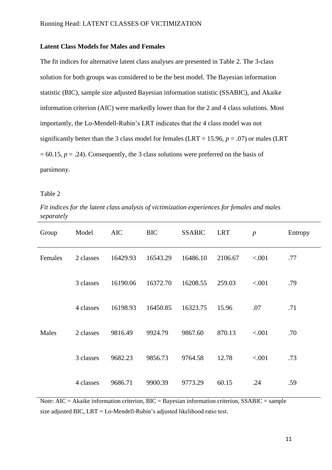## **Latent Class Models for Males and Females**

The fit indices for alternative latent class analyses are presented in Table 2. The 3-class solution for both groups was considered to be the best model. The Bayesian information statistic (BIC), sample size adjusted Bayesian information statistic (SSABIC), and Akaike information criterion (AIC) were markedly lower than for the 2 and 4 class solutions. Most importantly, the Lo-Mendell-Rubin"s LRT indicates that the 4 class model was not significantly better than the 3 class model for females (LRT = 15.96,  $p = .07$ ) or males (LRT  $= 60.15$ ,  $p = .24$ ). Consequently, the 3 class solutions were preferred on the basis of parsimony.

#### Table 2

*Fit indices for the latent class analysis of victimization experiences for females and males separately* 

| Group   | Model     | <b>AIC</b> | <b>BIC</b> | <b>SSABIC</b> | <b>LRT</b> | $\boldsymbol{p}$ | Entropy |
|---------|-----------|------------|------------|---------------|------------|------------------|---------|
| Females | 2 classes | 16429.93   | 16543.29   | 16486.10      | 2106.67    | < .001           | .77     |
|         | 3 classes | 16190.06   | 16372.70   | 16208.55      | 259.03     | < .001           | .79     |
|         | 4 classes | 16198.93   | 16450.85   | 16323.75      | 15.96      | .07              | .71     |
| Males   | 2 classes | 9816.49    | 9924.79    | 9867.60       | 870.13     | < .001           | .70     |
|         | 3 classes | 9682.23    | 9856.73    | 9764.58       | 12.78      | < .001           | .73     |
|         | 4 classes | 9686.71    | 9900.39    | 9773.29       | 60.15      | .24              | .59     |

Note: AIC = Akaike information criterion, BIC = Bayesian information criterion, SSABIC = sample size adjusted BIC,  $LRT = Lo$ -Mendell-Rubin's adjusted likelihood ratio test.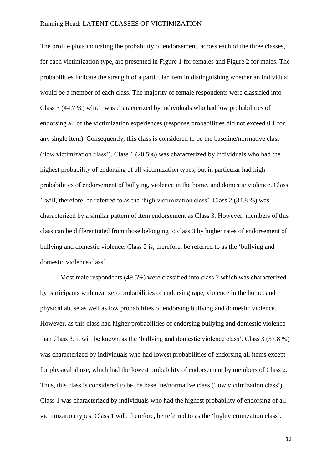The profile plots indicating the probability of endorsement, across each of the three classes, for each victimization type, are presented in Figure 1 for females and Figure 2 for males. The probabilities indicate the strength of a particular item in distinguishing whether an individual would be a member of each class. The majority of female respondents were classified into Class 3 (44.7 %) which was characterized by individuals who had low probabilities of endorsing all of the victimization experiences (response probabilities did not exceed 0.1 for any single item). Consequently, this class is considered to be the baseline/normative class ("low victimization class"). Class 1 (20.5%) was characterized by individuals who had the highest probability of endorsing of all victimization types, but in particular had high probabilities of endorsement of bullying, violence in the home, and domestic violence. Class 1 will, therefore, be referred to as the "high victimization class". Class 2 (34.8 %) was characterized by a similar pattern of item endorsement as Class 3. However, members of this class can be differentiated from those belonging to class 3 by higher rates of endorsement of bullying and domestic violence. Class 2 is, therefore, be referred to as the "bullying and domestic violence class'.

Most male respondents (49.5%) were classified into class 2 which was characterized by participants with near zero probabilities of endorsing rape, violence in the home, and physical abuse as well as low probabilities of endorsing bullying and domestic violence. However, as this class had higher probabilities of endorsing bullying and domestic violence than Class 3, it will be known as the "bullying and domestic violence class". Class 3 (37.8 %) was characterized by individuals who had lowest probabilities of endorsing all items except for physical abuse, which had the lowest probability of endorsement by members of Class 2. Thus, this class is considered to be the baseline/normative class ("low victimization class"). Class 1 was characterized by individuals who had the highest probability of endorsing of all victimization types. Class 1 will, therefore, be referred to as the "high victimization class".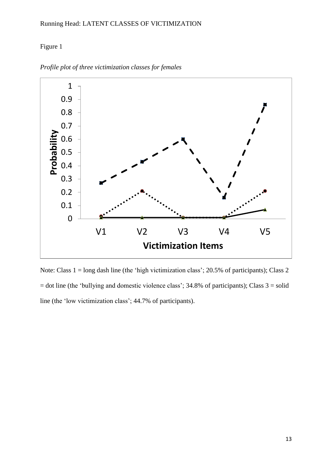# Figure 1



*Profile plot of three victimization classes for females*

Note: Class 1 = long dash line (the 'high victimization class'; 20.5% of participants); Class 2  $=$  dot line (the 'bullying and domestic violence class'; 34.8% of participants); Class  $3 =$  solid line (the "low victimization class"; 44.7% of participants).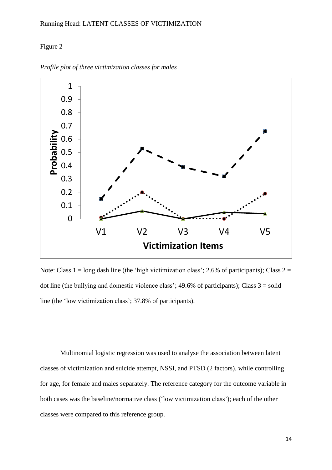# Figure 2



*Profile plot of three victimization classes for males*

Note: Class  $1 = \log \text{dash line}$  (the 'high victimization class'; 2.6% of participants); Class  $2 =$ dot line (the bullying and domestic violence class';  $49.6\%$  of participants); Class  $3 =$  solid line (the 'low victimization class'; 37.8% of participants).

Multinomial logistic regression was used to analyse the association between latent classes of victimization and suicide attempt, NSSI, and PTSD (2 factors), while controlling for age, for female and males separately. The reference category for the outcome variable in both cases was the baseline/normative class ("low victimization class"); each of the other classes were compared to this reference group.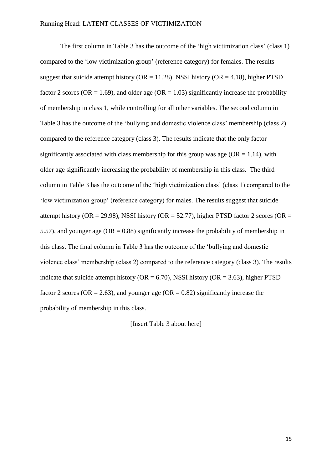The first column in Table 3 has the outcome of the 'high victimization class' (class 1) compared to the "low victimization group" (reference category) for females. The results suggest that suicide attempt history ( $OR = 11.28$ ), NSSI history ( $OR = 4.18$ ), higher PTSD factor 2 scores (OR = 1.69), and older age (OR = 1.03) significantly increase the probability of membership in class 1, while controlling for all other variables. The second column in Table 3 has the outcome of the 'bullying and domestic violence class' membership (class 2) compared to the reference category (class 3). The results indicate that the only factor significantly associated with class membership for this group was age ( $OR = 1.14$ ), with older age significantly increasing the probability of membership in this class. The third column in Table 3 has the outcome of the "high victimization class" (class 1) compared to the "low victimization group" (reference category) for males. The results suggest that suicide attempt history (OR = 29.98), NSSI history (OR = 52.77), higher PTSD factor 2 scores (OR = 5.57), and younger age ( $OR = 0.88$ ) significantly increase the probability of membership in this class. The final column in Table 3 has the outcome of the "bullying and domestic violence class" membership (class 2) compared to the reference category (class 3). The results indicate that suicide attempt history ( $OR = 6.70$ ), NSSI history ( $OR = 3.63$ ), higher PTSD factor 2 scores ( $OR = 2.63$ ), and younger age ( $OR = 0.82$ ) significantly increase the probability of membership in this class.

[Insert Table 3 about here]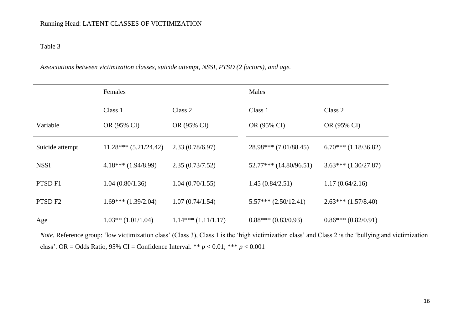# Table 3

*Associations between victimization classes, suicide attempt, NSSI, PTSD (2 factors), and age.*

|                    | Females<br>Class 1<br>Class 2 |                      | Males                      |                          |  |
|--------------------|-------------------------------|----------------------|----------------------------|--------------------------|--|
|                    |                               |                      | Class 1                    | Class 2                  |  |
| Variable           | OR (95% CI)                   | OR (95% CI)          | OR (95% CI)                | OR (95% CI)              |  |
| Suicide attempt    | $11.28***(5.21/24.42)$        | 2.33(0.78/6.97)      | $28.98***$ (7.01/88.45)    | $6.70***$ $(1.18/36.82)$ |  |
| <b>NSSI</b>        | $4.18***$ (1.94/8.99)         | 2.35(0.73/7.52)      | $52.77***$ $(14.80/96.51)$ | $3.63***(1.30/27.87)$    |  |
| PTSD <sub>F1</sub> | 1.04(0.80/1.36)               | 1.04(0.70/1.55)      | 1.45(0.84/2.51)            | 1.17(0.64/2.16)          |  |
| PTSD <sub>F2</sub> | $1.69***(1.39/2.04)$          | 1.07(0.74/1.54)      | $5.57***$ $(2.50/12.41)$   | $2.63***(1.57/8.40)$     |  |
| Age                | $1.03**$ (1.01/1.04)          | $1.14***(1.11/1.17)$ | $0.88***(0.83/0.93)$       | $0.86***(0.82/0.91)$     |  |

*Note.* Reference group: "low victimization class" (Class 3), Class 1 is the "high victimization class" and Class 2 is the "bullying and victimization class". OR = Odds Ratio, 95% CI = Confidence Interval. \*\* *p* < 0.01; \*\*\* *p* < 0.001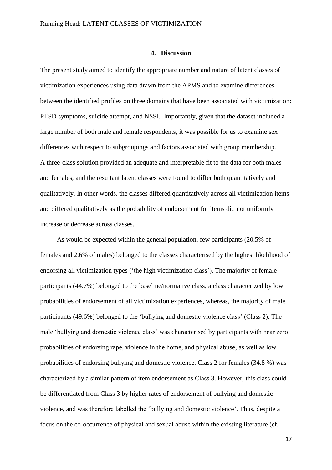#### **4. Discussion**

The present study aimed to identify the appropriate number and nature of latent classes of victimization experiences using data drawn from the APMS and to examine differences between the identified profiles on three domains that have been associated with victimization: PTSD symptoms, suicide attempt, and NSSI. Importantly, given that the dataset included a large number of both male and female respondents, it was possible for us to examine sex differences with respect to subgroupings and factors associated with group membership. A three-class solution provided an adequate and interpretable fit to the data for both males and females, and the resultant latent classes were found to differ both quantitatively and qualitatively. In other words, the classes differed quantitatively across all victimization items and differed qualitatively as the probability of endorsement for items did not uniformly increase or decrease across classes.

 As would be expected within the general population, few participants (20.5% of females and 2.6% of males) belonged to the classes characterised by the highest likelihood of endorsing all victimization types ("the high victimization class"). The majority of female participants (44.7%) belonged to the baseline/normative class, a class characterized by low probabilities of endorsement of all victimization experiences, whereas, the majority of male participants (49.6%) belonged to the "bullying and domestic violence class" (Class 2). The male 'bullying and domestic violence class' was characterised by participants with near zero probabilities of endorsing rape, violence in the home, and physical abuse, as well as low probabilities of endorsing bullying and domestic violence. Class 2 for females (34.8 %) was characterized by a similar pattern of item endorsement as Class 3. However, this class could be differentiated from Class 3 by higher rates of endorsement of bullying and domestic violence, and was therefore labelled the "bullying and domestic violence". Thus, despite a focus on the co-occurrence of physical and sexual abuse within the existing literature (cf.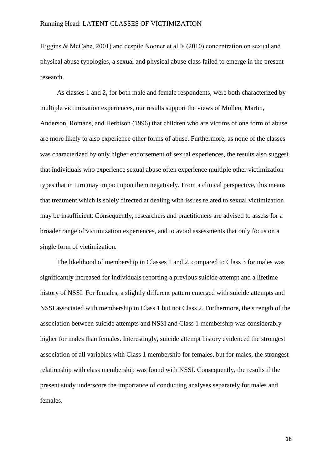Higgins & McCabe, 2001) and despite Nooner et al.'s (2010) concentration on sexual and physical abuse typologies, a sexual and physical abuse class failed to emerge in the present research.

 As classes 1 and 2, for both male and female respondents, were both characterized by multiple victimization experiences, our results support the views of Mullen, Martin, Anderson, Romans, and Herbison (1996) that children who are victims of one form of abuse are more likely to also experience other forms of abuse. Furthermore, as none of the classes was characterized by only higher endorsement of sexual experiences, the results also suggest that individuals who experience sexual abuse often experience multiple other victimization types that in turn may impact upon them negatively. From a clinical perspective, this means that treatment which is solely directed at dealing with issues related to sexual victimization may be insufficient. Consequently, researchers and practitioners are advised to assess for a broader range of victimization experiences, and to avoid assessments that only focus on a single form of victimization.

 The likelihood of membership in Classes 1 and 2, compared to Class 3 for males was significantly increased for individuals reporting a previous suicide attempt and a lifetime history of NSSI. For females, a slightly different pattern emerged with suicide attempts and NSSI associated with membership in Class 1 but not Class 2. Furthermore, the strength of the association between suicide attempts and NSSI and Class 1 membership was considerably higher for males than females. Interestingly, suicide attempt history evidenced the strongest association of all variables with Class 1 membership for females, but for males, the strongest relationship with class membership was found with NSSI. Consequently, the results if the present study underscore the importance of conducting analyses separately for males and females.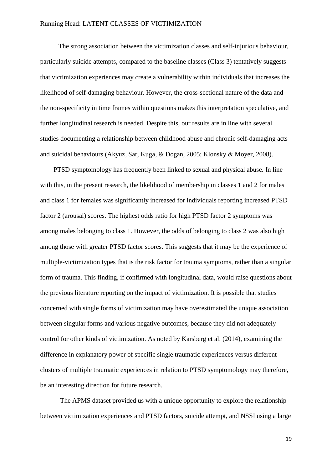The strong association between the victimization classes and self-injurious behaviour, particularly suicide attempts, compared to the baseline classes (Class 3) tentatively suggests that victimization experiences may create a vulnerability within individuals that increases the likelihood of self-damaging behaviour. However, the cross-sectional nature of the data and the non-specificity in time frames within questions makes this interpretation speculative, and further longitudinal research is needed. Despite this, our results are in line with several studies documenting a relationship between childhood abuse and chronic self-damaging acts and suicidal behaviours (Akyuz, Sar, Kuga, & Dogan, 2005; Klonsky & Moyer, 2008).

 PTSD symptomology has frequently been linked to sexual and physical abuse. In line with this, in the present research, the likelihood of membership in classes 1 and 2 for males and class 1 for females was significantly increased for individuals reporting increased PTSD factor 2 (arousal) scores. The highest odds ratio for high PTSD factor 2 symptoms was among males belonging to class 1. However, the odds of belonging to class 2 was also high among those with greater PTSD factor scores. This suggests that it may be the experience of multiple-victimization types that is the risk factor for trauma symptoms, rather than a singular form of trauma. This finding, if confirmed with longitudinal data, would raise questions about the previous literature reporting on the impact of victimization. It is possible that studies concerned with single forms of victimization may have overestimated the unique association between singular forms and various negative outcomes, because they did not adequately control for other kinds of victimization. As noted by Karsberg et al. (2014), examining the difference in explanatory power of specific single traumatic experiences versus different clusters of multiple traumatic experiences in relation to PTSD symptomology may therefore, be an interesting direction for future research.

 The APMS dataset provided us with a unique opportunity to explore the relationship between victimization experiences and PTSD factors, suicide attempt, and NSSI using a large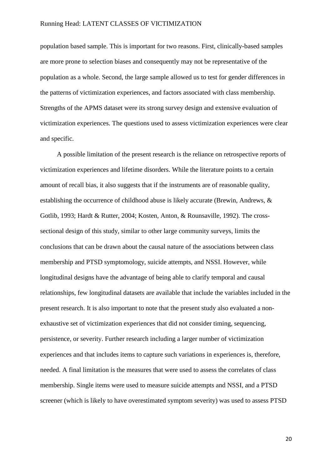population based sample. This is important for two reasons. First, clinically-based samples are more prone to selection biases and consequently may not be representative of the population as a whole. Second, the large sample allowed us to test for gender differences in the patterns of victimization experiences, and factors associated with class membership. Strengths of the APMS dataset were its strong survey design and extensive evaluation of victimization experiences. The questions used to assess victimization experiences were clear and specific.

 A possible limitation of the present research is the reliance on retrospective reports of victimization experiences and lifetime disorders. While the literature points to a certain amount of recall bias, it also suggests that if the instruments are of reasonable quality, establishing the occurrence of childhood abuse is likely accurate (Brewin, Andrews, & Gotlib, 1993; Hardt & Rutter, 2004; Kosten, Anton, & Rounsaville, 1992). The crosssectional design of this study, similar to other large community surveys, limits the conclusions that can be drawn about the causal nature of the associations between class membership and PTSD symptomology, suicide attempts, and NSSI. However, while longitudinal designs have the advantage of being able to clarify temporal and causal relationships, few longitudinal datasets are available that include the variables included in the present research. It is also important to note that the present study also evaluated a nonexhaustive set of victimization experiences that did not consider timing, sequencing, persistence, or severity. Further research including a larger number of victimization experiences and that includes items to capture such variations in experiences is, therefore, needed. A final limitation is the measures that were used to assess the correlates of class membership. Single items were used to measure suicide attempts and NSSI, and a PTSD screener (which is likely to have overestimated symptom severity) was used to assess PTSD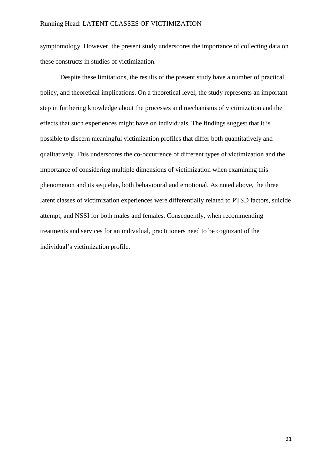symptomology. However, the present study underscores the importance of collecting data on these constructs in studies of victimization.

Despite these limitations, the results of the present study have a number of practical, policy, and theoretical implications. On a theoretical level, the study represents an important step in furthering knowledge about the processes and mechanisms of victimization and the effects that such experiences might have on individuals. The findings suggest that it is possible to discern meaningful victimization profiles that differ both quantitatively and qualitatively. This underscores the co-occurrence of different types of victimization and the importance of considering multiple dimensions of victimization when examining this phenomenon and its sequelae, both behavioural and emotional. As noted above, the three latent classes of victimization experiences were differentially related to PTSD factors, suicide attempt, and NSSI for both males and females. Consequently, when recommending treatments and services for an individual, practitioners need to be cognizant of the individual"s victimization profile.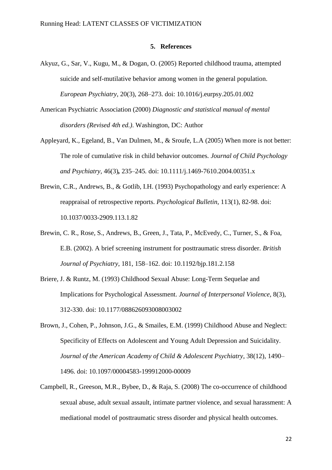#### **5. References**

- Akyuz, G., Sar, V., Kugu, M., & Dogan, O. (2005) Reported childhood trauma, attempted suicide and self-mutilative behavior among women in the general population. *European Psychiatry*, 20(3), 268–273. doi: 10.1016/j.eurpsy.205.01.002
- American Psychiatric Association (2000) *Diagnostic and statistical manual of mental disorders (Revised 4th ed.)*. Washington, DC: Author
- Appleyard, K.*,* Egeland, B.*,* Van Dulmen, M., & Sroufe, L.A (2005) When more is not better: The role of cumulative risk in child behavior outcomes*. Journal of Child Psychology and Psychiatry,* 46(3)*,* 235*–*245*.* doi: 10.1111/j.1469-7610.2004.00351.x
- Brewin, C.R., Andrews, B., & Gotlib, I.H. (1993) Psychopathology and early experience: A reappraisal of retrospective reports. *Psychological Bulletin*, 113(1), 82-98. doi: 10.1037/0033-2909.113.1.82
- Brewin, C. R., Rose, S., Andrews, B., Green, J., Tata, P., McEvedy, C., Turner, S., & Foa, E.B. (2002). A brief screening instrument for posttraumatic stress disorder. *British Journal of Psychiatry*, 181, 158–162. doi: 10.1192/bjp.181.2.158
- Briere, J. & Runtz, M. (1993) Childhood Sexual Abuse: Long-Term Sequelae and Implications for Psychological Assessment. *Journal of Interpersonal Violence*, 8(3), 312-330. doi: 10.1177/088626093008003002
- Brown, J., Cohen, P., Johnson, J.G., & Smailes, E.M. (1999) Childhood Abuse and Neglect: Specificity of Effects on Adolescent and Young Adult Depression and Suicidality. *Journal of the American Academy of Child & Adolescent Psychiatry*, 38(12), 1490– 1496. doi: 10.1097/00004583-199912000-00009
- Campbell, R., Greeson, M.R., Bybee, D., & Raja, S. (2008) The co-occurrence of childhood sexual abuse, adult sexual assault, intimate partner violence, and sexual harassment: A mediational model of posttraumatic stress disorder and physical health outcomes.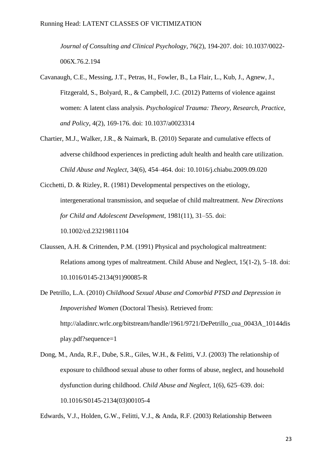*Journal of Consulting and Clinical Psychology*, 76(2), 194-207. doi: 10.1037/0022- 006X.76.2.194

- Cavanaugh, C.E., Messing, J.T., Petras, H., Fowler, B., La Flair, L., Kub, J., Agnew, J., Fitzgerald, S., Bolyard, R., & Campbell, J.C. (2012) Patterns of violence against women: A latent class analysis. *Psychological Trauma: Theory, Research, Practice, and Policy*, 4(2), 169-176. doi: 10.1037/a0023314
- Chartier, M.J., Walker, J.R., & Naimark, B. (2010) Separate and cumulative effects of adverse childhood experiences in predicting adult health and health care utilization. *Child Abuse and Neglect*, 34(6), 454–464. doi: 10.1016/j.chiabu.2009.09.020

Cicchetti, D. & Rizley, R. (1981) Developmental perspectives on the etiology, intergenerational transmission, and sequelae of child maltreatment. *New Directions for Child and Adolescent Development*, 1981(11), 31–55. doi: 10.1002/cd.23219811104

- Claussen, A.H. & Crittenden, P.M. (1991) Physical and psychological maltreatment: Relations among types of maltreatment. Child Abuse and Neglect, 15(1-2), 5–18. doi: 10.1016/0145-2134(91)90085-R
- De Petrillo, L.A. (2010) *Childhood Sexual Abuse and Comorbid PTSD and Depression in Impoverished Women* (Doctoral Thesis). Retrieved from: http://aladinrc.wrlc.org/bitstream/handle/1961/9721/DePetrillo\_cua\_0043A\_10144dis play.pdf?sequence=1
- Dong, M., Anda, R.F., Dube, S.R., Giles, W.H., & Felitti, V.J. (2003) The relationship of exposure to childhood sexual abuse to other forms of abuse, neglect, and household dysfunction during childhood. *Child Abuse and Neglect*, 1(6), 625–639. doi: 10.1016/S0145-2134(03)00105-4

Edwards, V.J., Holden, G.W., Felitti, V.J., & Anda, R.F. (2003) Relationship Between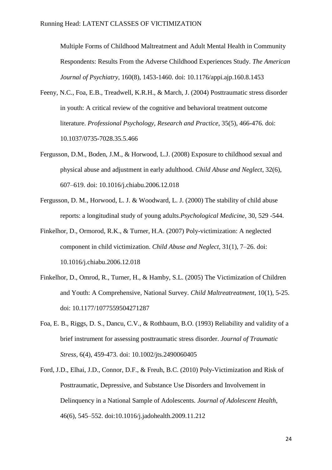Multiple Forms of Childhood Maltreatment and Adult Mental Health in Community Respondents: Results From the Adverse Childhood Experiences Study. *The American Journal of Psychiatry*, 160(8), 1453-1460. doi: 10.1176/appi.ajp.160.8.1453

- Feeny, N.C., Foa, E.B., Treadwell, K.R.H., & March, J. (2004) Posttraumatic stress disorder in youth: A critical review of the cognitive and behavioral treatment outcome literature. *Professional Psychology, Research and Practice*, 35(5), 466-476. doi: 10.1037/0735-7028.35.5.466
- Fergusson, D.M., Boden, J.M., & Horwood, L.J. (2008) Exposure to childhood sexual and physical abuse and adjustment in early adulthood. *Child Abuse and Neglect*, 32(6), 607–619. doi: 10.1016/j.chiabu.2006.12.018
- Fergusson, D. M., Horwood, L. J. & Woodward, L. J. (2000) The stability of child abuse reports: a longitudinal study of young adults.*Psychological Medicine*, 30, 529 -544.
- Finkelhor, D., Ormorod, R.K., & Turner, H.A. (2007) Poly-victimization: A neglected component in child victimization. *Child Abuse and Neglect*, 31(1), 7–26. doi: 10.1016/j.chiabu.2006.12.018
- Finkelhor, D., Omrod, R., Turner, H., & Hamby, S.L. (2005) The Victimization of Children and Youth: A Comprehensive, National Survey. *Child Maltreatreatment*, 10(1), 5-25. doi: 10.1177/1077559504271287
- Foa, E. B., Riggs, D. S., Dancu, C.V., & Rothbaum, B.O. (1993) Reliability and validity of a brief instrument for assessing posttraumatic stress disorder. *Journal of Traumatic Stress,* 6(4), 459-473. doi: 10.1002/jts.2490060405
- Ford, J.D., Elhai, J.D., Connor, D.F., & Freuh, B.C. (2010) Poly-Victimization and Risk of Posttraumatic, Depressive, and Substance Use Disorders and Involvement in Delinquency in a National Sample of Adolescents. *Journal of Adolescent Health*, 46(6), 545–552. doi:10.1016/j.jadohealth.2009.11.212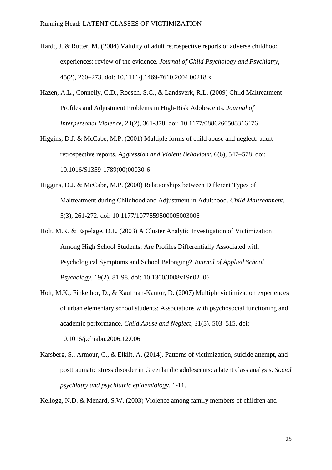- Hardt, J. & Rutter, M. (2004) Validity of adult retrospective reports of adverse childhood experiences: review of the evidence. *Journal of Child Psychology and Psychiatry*, 45(2), 260–273. doi: 10.1111/j.1469-7610.2004.00218.x
- Hazen, A.L., Connelly, C.D., Roesch, S.C., & Landsverk, R.L. (2009) Child Maltreatment Profiles and Adjustment Problems in High-Risk Adolescents. *Journal of Interpersonal Violence*, 24(2), 361-378. doi: 10.1177/0886260508316476
- Higgins, D.J. & McCabe, M.P. (2001) Multiple forms of child abuse and neglect: adult retrospective reports. *Aggression and Violent Behaviour*, 6(6), 547–578. doi: 10.1016/S1359-1789(00)00030-6
- Higgins, D.J. & McCabe, M.P. (2000) Relationships between Different Types of Maltreatment during Childhood and Adjustment in Adulthood. *Child Maltreatment,* 5(3), 261-272. doi: 10.1177/1077559500005003006
- Holt, M.K. & Espelage, D.L. (2003) A Cluster Analytic Investigation of Victimization Among High School Students: Are Profiles Differentially Associated with Psychological Symptoms and School Belonging? *Journal of Applied School Psychology*, 19(2), 81-98. doi: 10.1300/J008v19n02\_06
- Holt, M.K., Finkelhor, D., & Kaufman-Kantor, D. (2007) Multiple victimization experiences of urban elementary school students: Associations with psychosocial functioning and academic performance. *Child Abuse and Neglect*, 31(5), 503–515. doi: 10.1016/j.chiabu.2006.12.006
- Karsberg, S., Armour, C., & Elklit, A. (2014). Patterns of victimization, suicide attempt, and posttraumatic stress disorder in Greenlandic adolescents: a latent class analysis. *Social psychiatry and psychiatric epidemiology*, 1-11.

Kellogg, N.D. & Menard, S.W. (2003) Violence among family members of children and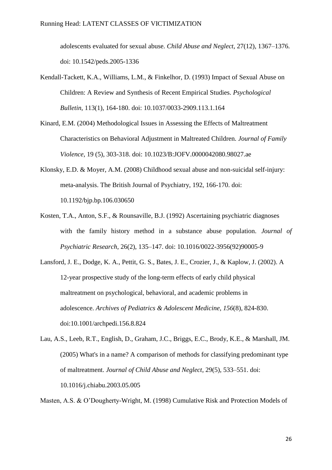adolescents evaluated for sexual abuse. *Child Abuse and Neglect*, 27(12), 1367–1376. doi: 10.1542/peds.2005-1336

- Kendall-Tackett, K.A., Williams, L.M., & Finkelhor, D. (1993) Impact of Sexual Abuse on Children: A Review and Synthesis of Recent Empirical Studies. *Psychological Bulletin*, 113(1), 164-180. doi: 10.1037/0033-2909.113.1.164
- Kinard, E.M. (2004) Methodological Issues in Assessing the Effects of Maltreatment Characteristics on Behavioral Adjustment in Maltreated Children. *Journal of Family Violence*, 19 (5), 303-318. doi: 10.1023/B:JOFV.0000042080.98027.ae
- Klonsky, E.D. & Moyer, A.M. (2008) Childhood sexual abuse and non-suicidal self-injury: meta-analysis. The British Journal of Psychiatry, 192, 166-170. doi: 10.1192/bjp.bp.106.030650
- Kosten, T.A., Anton, S.F., & Rounsaville, B.J. (1992) Ascertaining psychiatric diagnoses with the family history method in a substance abuse population. *Journal of Psychiatric Research*, 26(2), 135–147. doi: 10.1016/0022-3956(92)90005-9
- Lansford, J. E., Dodge, K. A., Pettit, G. S., Bates, J. E., Crozier, J., & Kaplow, J. (2002). A 12-year prospective study of the long-term effects of early child physical maltreatment on psychological, behavioral, and academic problems in adolescence. *Archives of Pediatrics & Adolescent Medicine*, *156*(8), 824-830. doi:10.1001/archpedi.156.8.824
- Lau, A.S., Leeb, R.T., English, D., Graham, J.C., Briggs, E.C., Brody, K.E., & Marshall, JM. (2005) What's in a name? A comparison of methods for classifying predominant type of maltreatment. *Journal of Child Abuse and Neglect*, 29(5), 533–551. doi: 10.1016/j.chiabu.2003.05.005

Masten, A.S. & O"Dougherty-Wright, M. (1998) Cumulative Risk and Protection Models of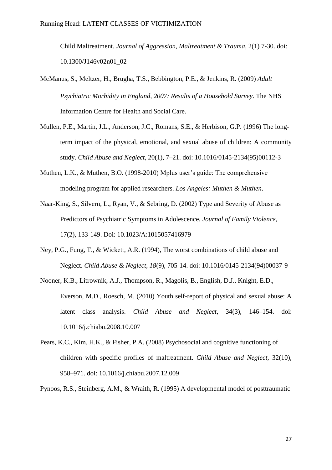Child Maltreatment. *Journal of Aggression, Maltreatment & Trauma*, 2(1) 7-30. doi: 10.1300/J146v02n01\_02

- McManus, S., Meltzer, H., Brugha, T.S., Bebbington, P.E., & Jenkins, R. (2009) *Adult Psychiatric Morbidity in England, 2007: Results of a Household Survey*. The NHS Information Centre for Health and Social Care.
- Mullen, P.E., Martin, J.L., Anderson, J.C., Romans, S.E., & Herbison, G.P. (1996) The longterm impact of the physical, emotional, and sexual abuse of children: A community study. *Child Abuse and Neglect*, 20(1), 7–21. doi: 10.1016/0145-2134(95)00112-3
- Muthen, L.K., & Muthen, B.O. (1998-2010) Mplus user's guide: The comprehensive modeling program for applied researchers. *Los Angeles: Muthen & Muthen*.
- Naar-King, S., Silvern, L., Ryan, V., & Sebring, D. (2002) Type and Severity of Abuse as Predictors of Psychiatric Symptoms in Adolescence*. Journal of Family Violence*, 17(2), 133-149. Doi: 10.1023/A:1015057416979
- Ney, P.G., Fung, T., & Wickett, A.R. (1994), The worst combinations of child abuse and Neglect. *Child Abuse & Neglect, 18*(9), 705-14. doi: 10.1016/0145-2134(94)00037-9
- Nooner, K.B., Litrownik, A.J., Thompson, R., Magolis, B., English, D.J., Knight, E.D., Everson, M.D., Roesch, M. (2010) Youth self-report of physical and sexual abuse: A latent class analysis. *Child Abuse and Neglect*, 34(3), 146–154. doi: 10.1016/j.chiabu.2008.10.007
- Pears, K.C., Kim, H.K., & Fisher, P.A. (2008) Psychosocial and cognitive functioning of children with specific profiles of maltreatment. *Child Abuse and Neglect*, 32(10), 958–971. doi: 10.1016/j.chiabu.2007.12.009
- Pynoos, R.S., Steinberg, A.M., & Wraith, R. (1995) A developmental model of posttraumatic